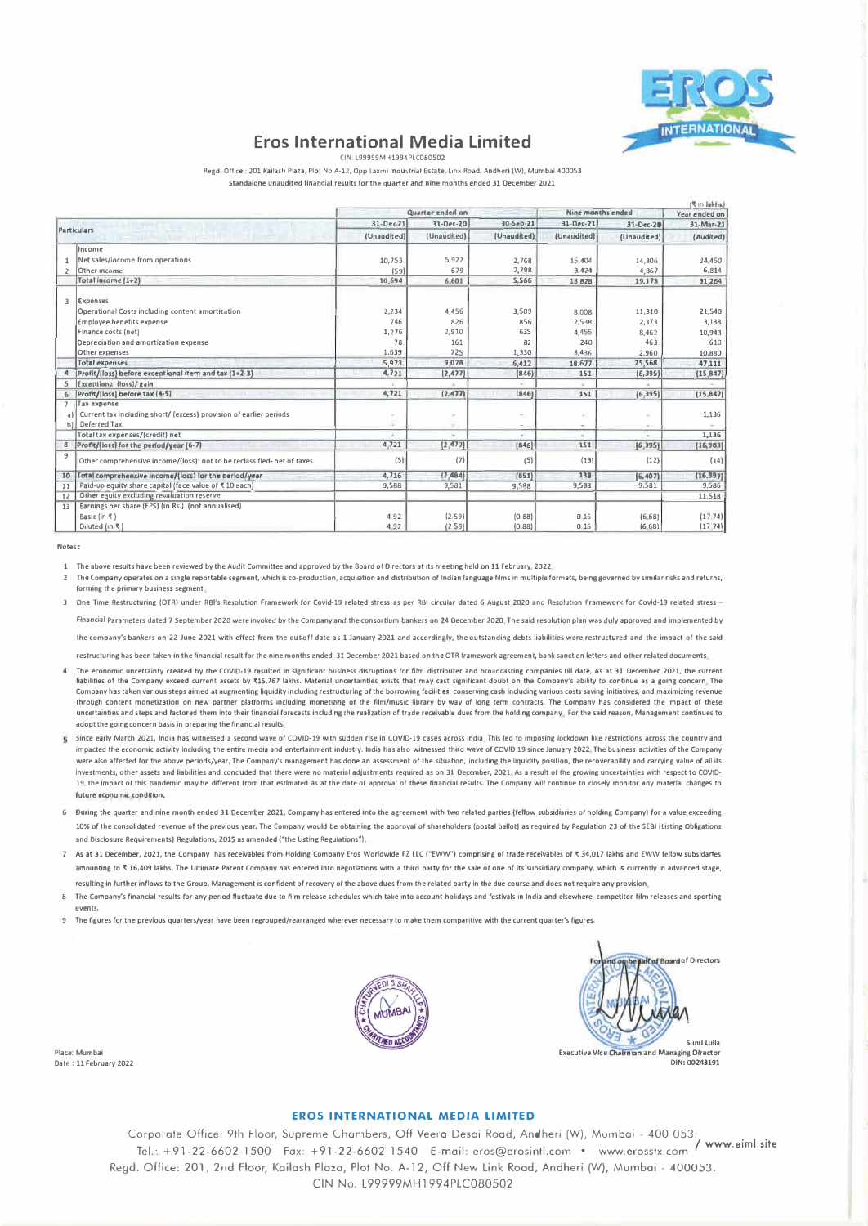

# **Eros International Media Limited**

CIN: 199999MH1994PLCDRD5D2

Regd, Office : 201 Kailash Plaza, Plot No. 4-12, Onn Laxmi Industrial Estate, Link Road, Andheri (W), Mumbai 400053 Standalone unaudited financial results for the quarter and nine months ended 31 December 2021

|                |                                                                         |                  |             |             |                   |             | (¶ in Jakhs)  |
|----------------|-------------------------------------------------------------------------|------------------|-------------|-------------|-------------------|-------------|---------------|
|                |                                                                         | Quarter ended on |             |             | Nine manths ended |             | Year ended on |
| Particulars    |                                                                         | 31-Dec21         | 31-Dec-20   | 30-Sep-21   | 31-Dec-21         | 31-Dec-20   | 31-Mar-21     |
|                |                                                                         | (Unaudited)      | (Unaudited) | (Unaudited) | (Unaudited)       | (Unaudited) | (Audited)     |
|                | Income                                                                  |                  |             |             |                   |             |               |
|                | Net sales/income from operations                                        | 10.753           | 5.922       | 2.768       | 15,404            | 14,306      | 24,450        |
|                | Other income                                                            | (59)             | 679         | 2,798       | 3,424             | 4,867       | 6,814         |
|                | Total income [1+2]                                                      | 10.694           | 6.601       | 5.566       | 18.828            | 19,173      | 31.264        |
| R              | <b>Expenses</b>                                                         |                  |             |             |                   |             |               |
|                | Operational Costs including content amortization                        | 2,234            | 4,456       | 3,509       | 8.008             | 11,310      | 21,540        |
|                | Employee benefits expense                                               | 746              | 826         | 856         | 2,538             | 2.373       | 3.138         |
|                | Finance costs (net)                                                     | 1,276            | 2,910       | 635         | 4.455             | 8,462       | 10,943        |
|                | Depreciation and amortization expense                                   | 78               | 161         | 82          | 240               | 463         | 610           |
|                | Other expenses                                                          | 1,639            | 725         | 1,330       | 3,436             | 2,960       | 10,880        |
|                | <b>Total expenses</b>                                                   | 5.973            | 9,078       | 6,412       | 18,677            | 25.568      | 47.111        |
|                | Profit/(loss) before exceptional item and tax (1+2-3)                   | 4,721            | (2, 477)    | (846)       | 151               | (6, 395)    | (15, 847)     |
|                | Exceptional (loss)/ gain                                                |                  |             |             |                   |             |               |
| 6              | Profit/(loss) before tax (4-5)                                          | 4,721            | (2,477)     | [846]       | 151               | (6, 395)    | (15, 847)     |
| $\overline{ }$ | <b>Tax expense</b>                                                      |                  |             |             |                   |             |               |
|                | Current tax including short/ (excess) provision of earlier periods      |                  | $\sim$      | ÷           |                   | ÷           | 1,136         |
| hì             | Deferred Tax                                                            |                  | $\sim$      | $\sim$      |                   | $\sim$      |               |
|                | Total tax expenses/(credit) net                                         |                  | $\sim$      | ÷           | ×.                | ÷           | 1,136         |
|                | 8   Profit/(loss) for the period/year (6-7)                             | 4,721            | (2, 477)    | [846]       | 151               | (6, 395)    | (16, 983)     |
| 9              | Other comprehensive income/(loss): not to be reclassified- net of taxes | (5)              | (7)         | (5)         | (13)              | (12)        | (14)          |
| 10             | Total comprehensive income/(loss) for the period/year                   | 4,716            | (2, 484)    | [851]       | 138               | [6, 407]    | (16, 997)     |
| 11             | Paid-up equity share capital (face value of ₹10 each)                   | 9,588            | 9,581       | 9,588       | 9,588             | 9.581       | 9.586         |
| 12             | Other equity excluding revaluation reserve                              |                  |             |             |                   |             | 11,518        |
| 13             | Earnings per share (EPS) (in Rs.) (not annualised)                      |                  |             |             |                   |             |               |
|                | Basic (in ₹)                                                            | 4.92             | (2.59)      | (0.88)      | 0.16              | (6.68)      | (1774)        |
|                | Diluted (in ₹)                                                          | 4.92             | (2.59)      | (0.88)      | 0 <sub>16</sub>   | (6.68)      | (17, 74)      |

1 The above results have been reviewed by the Audit Committee and approved by the Board of Directors at its meeting held on 11 February, 2022.

- The Company operates on a single reportable segment, which is co-production, acquisition and distribution of Indian language films in multiple formats, being governed by similar risks and returns  $\overline{z}$ forming the primary business segment.
- 3 One Time Restructuring (OTR) under RBI's Resolution Framework for Covid-19 related stress as per RBI circular dated 6 August 2020 and Resolution Framework for Covid-19 related stress -Financial Parameters dated 7 September 2020 were invoked by the Company and the consortium bankers on 24 December 2020, The said resolution plan was duly approved and implen ented by

the company's bankers on 22 June 2021 with effect from the cutoff date as 1 January 2021 and accordingly, the outstanding debts liabilities were restructured and the impact of the said

restructuring has been taken in the financial result for the nine months ended 31 December 2021 based on the OTR framework agreement, bank sanction letters and other related documents.

- The economic uncertainty created by the COVID-19 resulted in significant business disruptions for film distributer and broadcasting companies till date, As at 31 December 2021, the current liabilities of the Company exceed current assets by ₹15,767 lakhs. Material uncertainties exists that may cast significant doubt on the Company's ability to continue as a going concern. The<br>Company has taken various steps through content monetization on new partner platforms including monetizing of the film/music library by way of long term contracts. The Company has considered the impact of these uncertainties and steps and factored them into their financial forecasts including the realization of trade receivable dues from the holding company. For the said reason, Management continues to adopt the going concern basis in preparing the financial results.
- 5 Since early March 2021, India has witnessed a second wave of COVID-19 with sudden rise in COVID-19 cases across India. This led to imposing lockdown like restrictions across the country and impacted the economic activity including the entire media and entertainment industry. India has also witnessed third wave of COVID 19 since January 2022, The business activities of the Company were also affected for the above periods/year. The Company's management has done an assessment of the situation, including the liquidity position, the recoverability and carrying value of all its investments, other assets and liabilities and concluded that there were no material adjustments required as on 31 December, 2021. As a result of the growing uncertainties with respect to COVID-19, the impact of this pandemic may be different from that estimated as at the date of approval of these financial results. The Company will continue to closely monitor any material changes to future econumic condition,
- 6 During the quarter and nine month ended 31 December 2021, Company has entered into the agreement with two related parties (fellow subsidiaries of holding Company) for a value exceeding 10% of the consolidated revenue of the previous vear. The Company would be obtaining the approval of shareholders (postal ballot) as required by Regulation 23 of the SEBI (Listing Obligations and Disclosure Requirements) Regulations, 2015 as amended ("the Listing Regulations").
- 7 As at 31 December, 2021, the Company has receivables from Holding Company Eros Worldwide FZ LLC ("EWW") comprising of trade receivables of ₹ 34,017 lakhs and EWW fellow subsidaries amounting to  $\bar{x}$  16.409 lakhs. The Ultimate Parent Company has entered into negotiations with a third party for the sale of one of its subsidiary company, which is currently in advanced stage. resulting in further inflows to the Group, Management is confident of recovery of the above dues from the related party in the due course and does not require any provision,
- 8 The Company's financial results for any period fluctuate due to film release schedules which take into account holidays and festivals in India and elsewhere, competitor film releases and sporting events
- 9 The figures for the previous quarters/year have been regrouped/rearranged wherever necessary to make them comparitive with the current quarter's figures





#### **EROS INTERNATIONAL MEDIA LIMITED**

Corporate Office: 9th Floor, Supreme Chambers, Off Veera Desai Road, Andheri (W), Mumbai - 400 053. Tel.: +91-22-6602 1500 Fax: +91-22-6602 1540 E-mail: eros@erosintl.com • www.erosstx.com / www.eiml.site Regd. Office: 201, 2nd Floor, Kailash Plaza, Plot No. A-12, Off New Link Road, Andheri (W), Mumbai - 400053. CIN No. L99999MH1994PLC080502

Place: Mumbai Date: 11 February 2022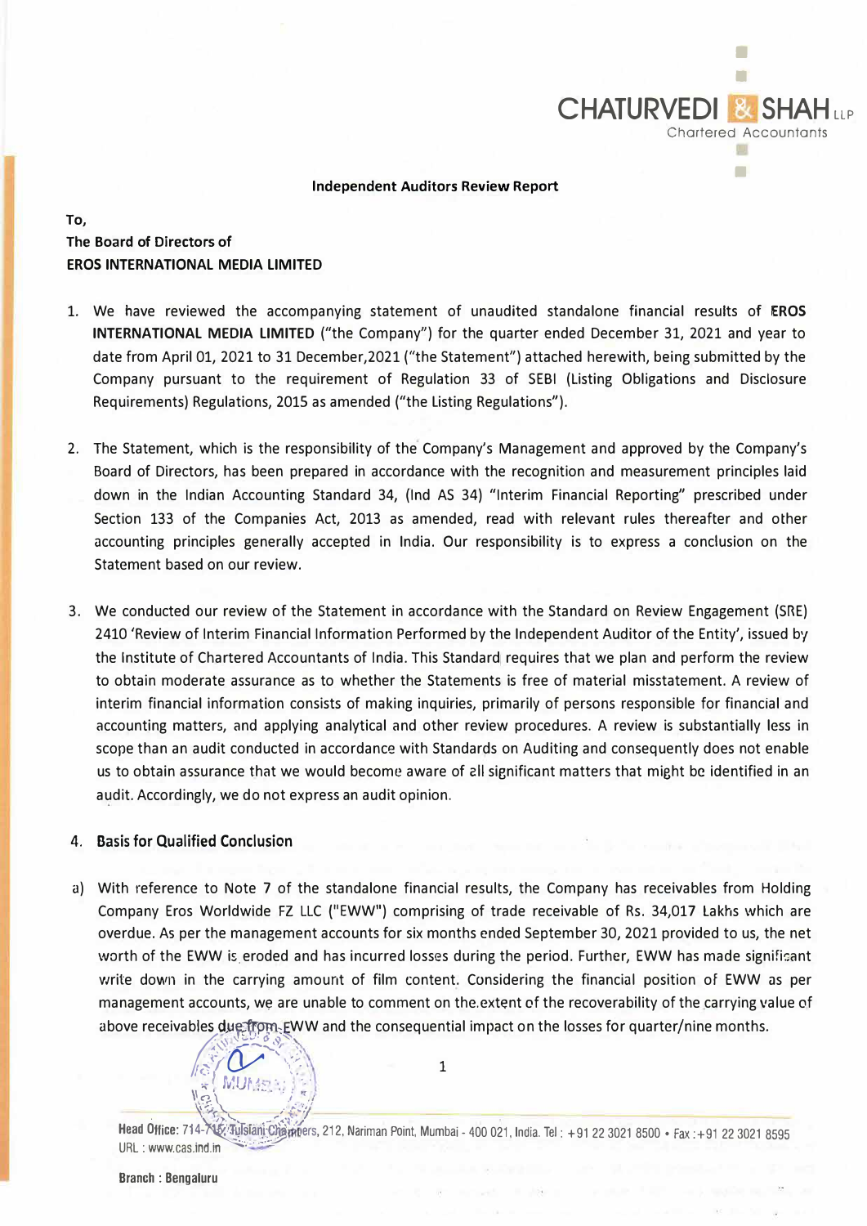

#### Independent Auditors Review Report

**To,** 

## **The Board of Directors of EROS INTERNATIONAL MEDIA LIMITED**

- 1. We have reviewed the accompanying statement of unaudited standalone financial results of **EROS INTERNATIONAL MEDIA LIMITED** ("the Company") for the quarter ended December 31, 2021 and year to date from April 01, 2021 to 31 December,2021 ("the Statement") attached herewith, being submitted by the Company pursuant to the requirement of Regulation 33 of SEBI (Listing Obligations and Disclosure Requirements) Regulations, 2015 as amended ("the Listing Regulations").
- 2. The Statement, which is the responsibility of the Company's Management and approved by the Company's Board of Directors, has been prepared in accordance with the recognition and measurement principles laid down in the Indian Accounting Standard 34, (Ind AS 34) "Interim Financial Reporting" prescribed under Section 133 of the Companies Act, 2013 as amended, read with relevant rules thereafter and other accounting principles generally accepted in India. Our responsibility is to express a conclusion on the Statement based on our review.
- 3. We conducted our review of the Statement in accordance with the Standard on Review Engagement (SRE) 2410 'Review of Interim Financial Information Performed by the Independent Auditor of the Entity', issued by the Institute of Chartered Accountants of India. This Standard requires that we plan and perform the review to obtain moderate assurance as to whether the Statements is free of material misstatement. A review of interim financial information consists of making inquiries, primarily of persons responsible for financial and accounting matters, and applying analytical and other review procedures. A review is substantially less in scope than an audit conducted in accordance with Standards on Auditing and consequently does not enable us to obtain assurance that we would become aware of **211** significant matters that might be identified in an audit. Accordingly, we do not express an audit opinion.

## 4. Basis for Qualified Conclusion

a) With reference to Note 7 of the standalone financial results, the Company has receivables from Holding Company Eros Worldwide FZ LLC {"EWW") comprising of trade receivable of Rs. 34,017 Lakhs which are overdue. As per the management accounts for six months ended September 30, 2021 provided to us, the net worth of the EWW is eroded and has incurred losses during the period. Further, EWW has made significant write down in the carrying amount of film content. Considering the financial position of EWW as per management accounts, we are unable to comment on the.extent of the recoverability of the carrying value of above receivables due from EWW and the consequential impact on the losses for quarter/nine months. accounts, we are unable to comment on<br>bles due from EWW and the consequent<br> $\sqrt{\frac{1}{N}}$  MUMEAU



**Head Office: 714-745: Tulsiani Charn**bers, 212, Nariman Point, Mumbai - 400 021, India. Tel : +91 22 3021 8500 • Fax :+91 22 3021 8595 URL: www.cas.ind.in

 $\frac{1}{2}$  MUMER  $\frac{1}{2}$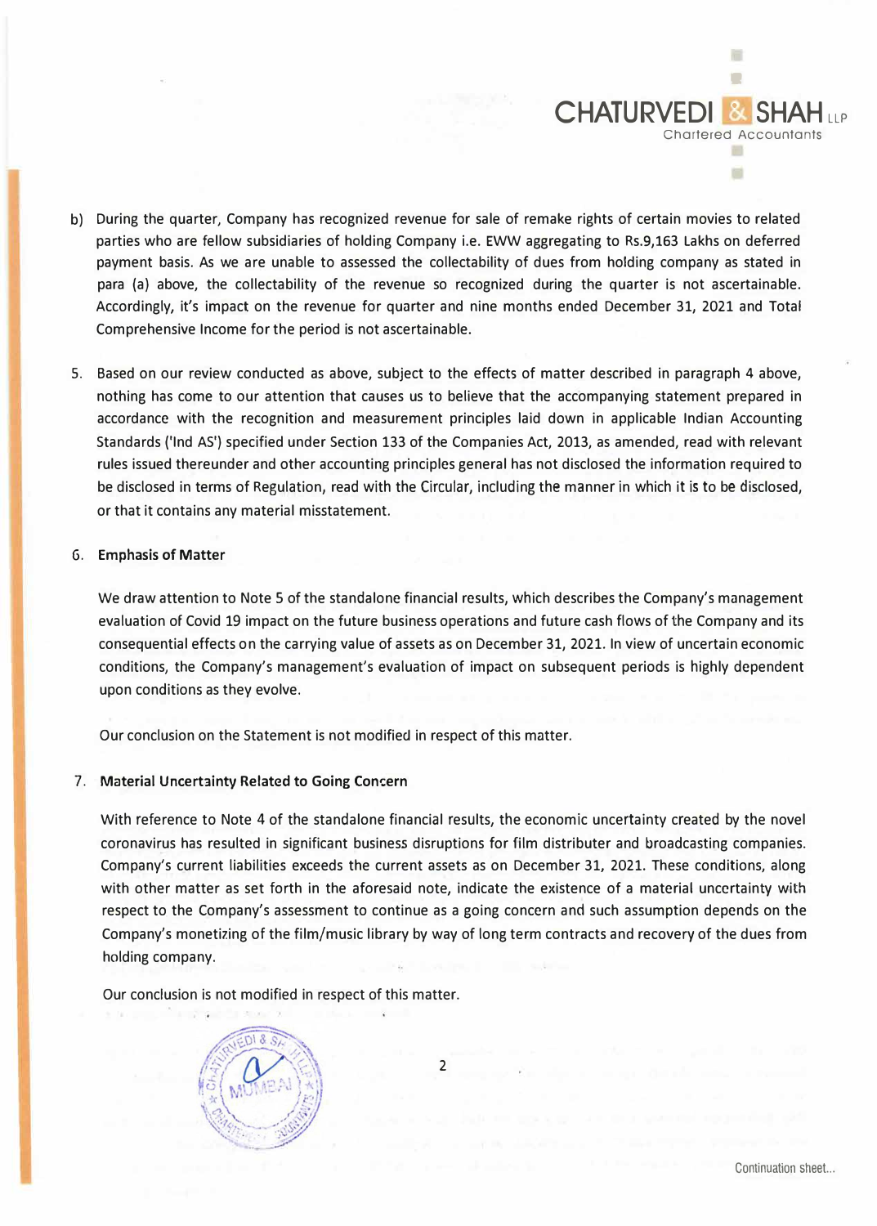

- b) During the quarter, Company has recognized revenue for sale of remake rights of certain movies to related parties who are fellow subsidiaries of holding Company i.e. EWW aggregating to Rs.9,163 Lakhs on deferred payment basis. As we are unable to assessed the collectability of dues from holding company as stated in para (a) above, the collectability of the revenue so recognized during the quarter is not ascertainable. Accordingly, it's impact on the revenue for quarter and nine months ended December 31, 2021 and Total Comprehensive Income for the period is not ascertainable.
- 5. Based on our review conducted as above, subject to the effects of matter described in paragraph 4 above, nothing has come to our attention that causes us to believe that the accompanying statement prepared in accordance with the recognition and measurement principles laid down in applicable Indian Accounting Standards ('Ind AS') specified under Section 133 of the Companies Act, 2013, as amended, read with relevant rules issued thereunder and other accounting principles general has not disclosed the information required to be disclosed in terms of Regulation, read with the Circular, including the manner in which it is to be disclosed, or that it contains any material misstatement.

## **G. Emphasis of Matter**

We draw attention to Note 5 of the standalone financial results, which describes the Company's management evaluation of Covid 19 impact on the future business operations and future cash flows of the Company and its consequential effects on the carrying value of assets as on December 31, 2021. In view of uncertain economic conditions, the Company's management's evaluation of impact on subsequent periods is highly dependent upon conditions as they evolve.

Our conclusion on the Statement is not modified in respect of this matter.

#### 7. Material Uncertainty Related to Going Concern

With reference to Note 4 of the standalone financial results, the economic uncertainty created by the novel coronavirus has resulted in significant business disruptions for film distributer and broadcasting companies. Company's current liabilities exceeds the current assets as on December 31, 2021. These conditions, along with other matter as set forth in the aforesaid note, indicate the existence of a material uncertainty with respect to the Company's assessment to continue as a going concern and such assumption depends on the Company's monetizing of the film/music library by way of long term contracts and recovery of the dues from holding company.

Our conclusion is not modified in respect of this matter.